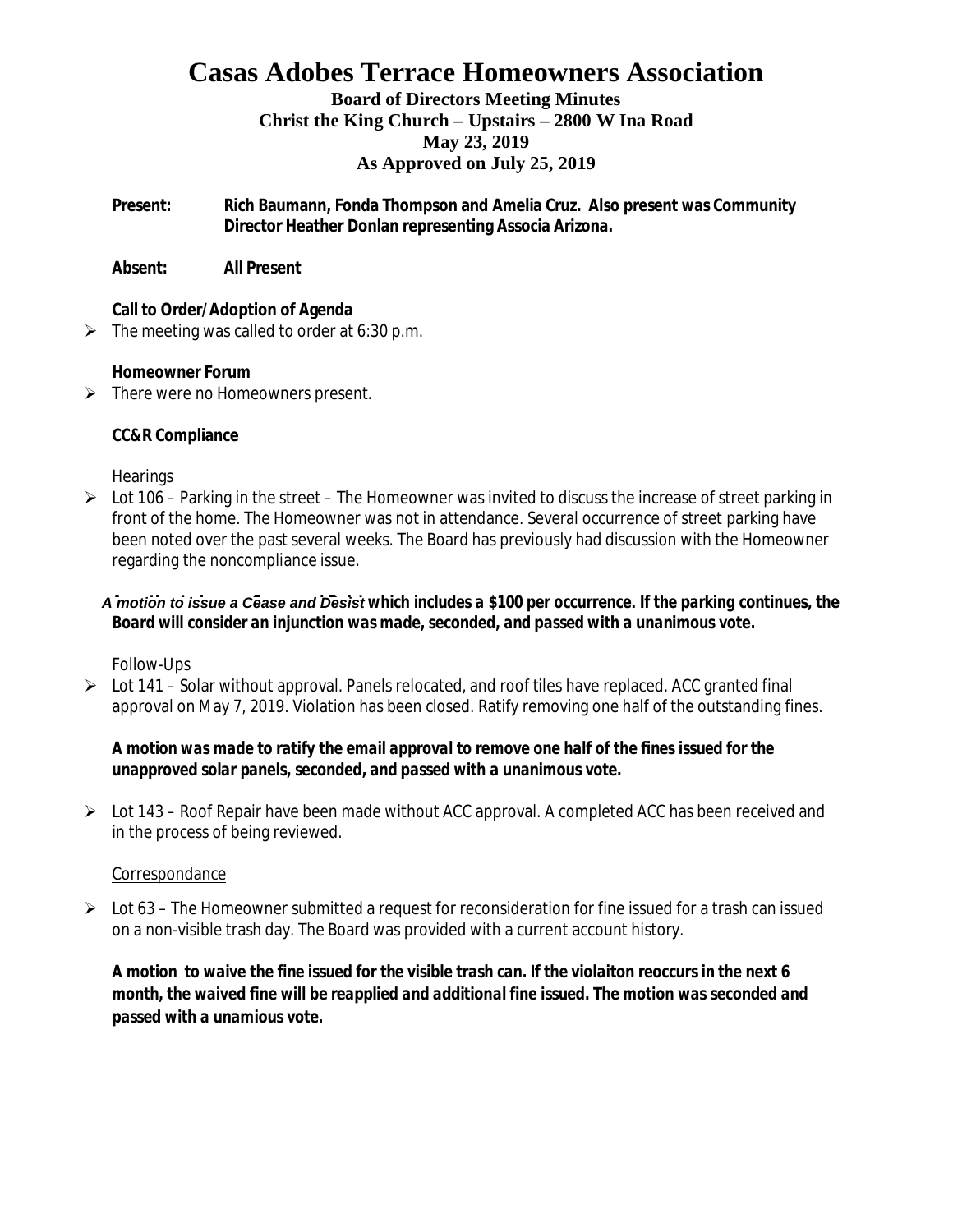## **Casas Adobes Terrace Homeowners Association**

#### **Board of Directors Meeting Minutes Christ the King Church – Upstairs – 2800 W Ina Road May 23, 2019 As Approved on July 25, 2019**

**Present: Rich Baumann, Fonda Thompson and Amelia Cruz. Also present was Community Director Heather Donlan representing Associa Arizona.**

**Absent: All Present**

**Call to Order/Adoption of Agenda**

 $\triangleright$  The meeting was called to order at 6:30 p.m.

**Homeowner Forum**

 $\triangleright$  There were no Homeowners present.

**CC&R Compliance**

#### **Hearings**

 $\triangleright$  Lot 106 – Parking in the street – The Homeowner was invited to discuss the increase of street parking in front of the home. The Homeowner was not in attendance. Several occurrence of street parking have been noted over the past several weeks. The Board has previously had discussion with the Homeowner regarding the noncompliance issue.

A motion to issue a Cease and Desist which includes a \$100 per occurrence. If the parking continues, the *Board will consider an injunction was made, seconded, and passed with a unanimous vote.*

Follow-Ups

 $\triangleright$  Lot 141 – Solar without approval. Panels relocated, and roof tiles have replaced. ACC granted final approval on May 7, 2019. Violation has been closed. Ratify removing one half of the outstanding fines.

*A motion was made to ratify the email approval to remove one half of the fines issued for the unapproved solar panels, seconded, and passed with a unanimous vote.*

Ø Lot 143 – Roof Repair have been made without ACC approval. A completed ACC has been received and in the process of being reviewed.

#### Correspondance

 $\triangleright$  Lot 63 – The Homeowner submitted a request for reconsideration for fine issued for a trash can issued on a non-visible trash day. The Board was provided with a current account history.

*A motion to waive the fine issued for the visible trash can. If the violaiton reoccurs in the next 6 month, the waived fine will be reapplied and additional fine issued. The motion was seconded and passed with a unamious vote.*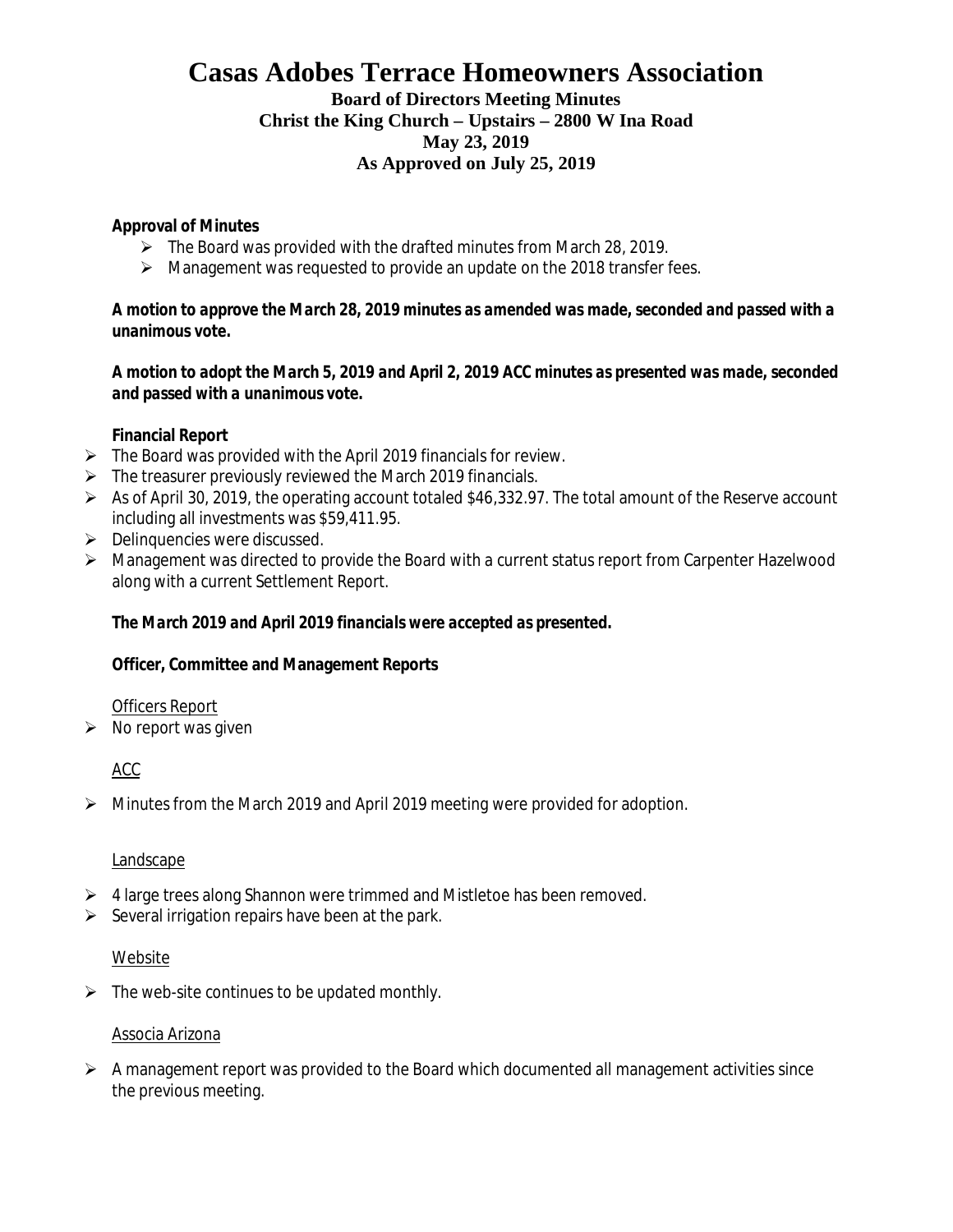# **Casas Adobes Terrace Homeowners Association**

**Board of Directors Meeting Minutes Christ the King Church – Upstairs – 2800 W Ina Road May 23, 2019 As Approved on July 25, 2019**

**Approval of Minutes**

- $\triangleright$  The Board was provided with the drafted minutes from March 28, 2019.
- $\triangleright$  Management was requested to provide an update on the 2018 transfer fees.

*A motion to approve the March 28, 2019 minutes as amended was made, seconded and passed with a unanimous vote.*

*A motion to adopt the March 5, 2019 and April 2, 2019 ACC minutes as presented was made, seconded and passed with a unanimous vote.*

**Financial Report**

- $\triangleright$  The Board was provided with the April 2019 financials for review.
- $\triangleright$  The treasurer previously reviewed the March 2019 financials.
- $\triangleright$  As of April 30, 2019, the operating account totaled \$46,332.97. The total amount of the Reserve account including all investments was \$59,411.95.
- $\triangleright$  Delinquencies were discussed.
- Ø Management was directed to provide the Board with a current status report from Carpenter Hazelwood along with a current Settlement Report.

*The March 2019 and April 2019 financials were accepted as presented.*

**Officer, Committee and Management Reports**

Officers Report

 $\triangleright$  No report was given

ACC

 $\triangleright$  Minutes from the March 2019 and April 2019 meeting were provided for adoption.

#### Landscape

- $\triangleright$  4 large trees along Shannon were trimmed and Mistletoe has been removed.
- $\triangleright$  Several irrigation repairs have been at the park.

#### Website

 $\triangleright$  The web-site continues to be updated monthly.

#### Associa Arizona

 $\triangleright$  A management report was provided to the Board which documented all management activities since the previous meeting.